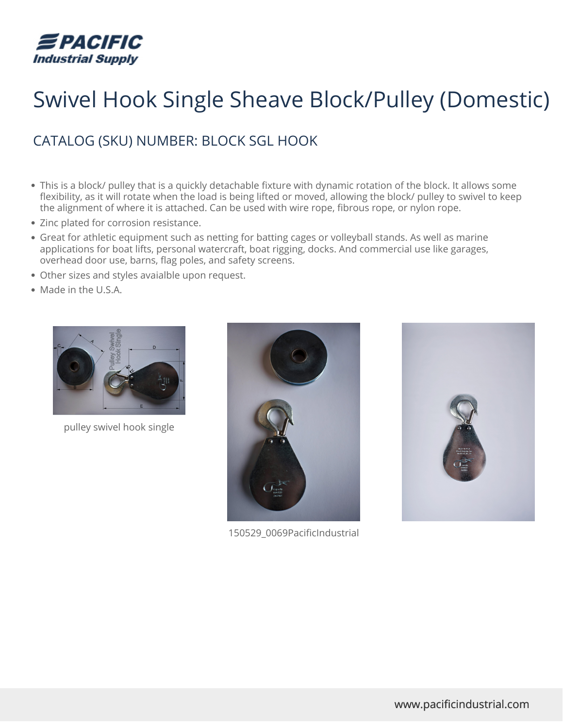

## Swivel Hook Single Sheave Block/Pulley (Domestic)

## CATALOG (SKU) NUMBER: BLOCK SGL HOOK

- This is a block/ pulley that is a quickly detachable fixture with dynamic rotation of the block. It allows some flexibility, as it will rotate when the load is being lifted or moved, allowing the block/ pulley to swivel to keep the alignment of where it is attached. Can be used with wire rope, fibrous rope, or nylon rope.
- Zinc plated for corrosion resistance.
- Great for athletic equipment such as netting for batting cages or volleyball stands. As well as marine applications for boat lifts, personal watercraft, boat rigging, docks. And commercial use like garages, overhead door use, barns, flag poles, and safety screens.
- Other sizes and styles avaialble upon request.
- Made in the U.S.A.



pulley swivel hook single



150529\_0069PacificIndustrial

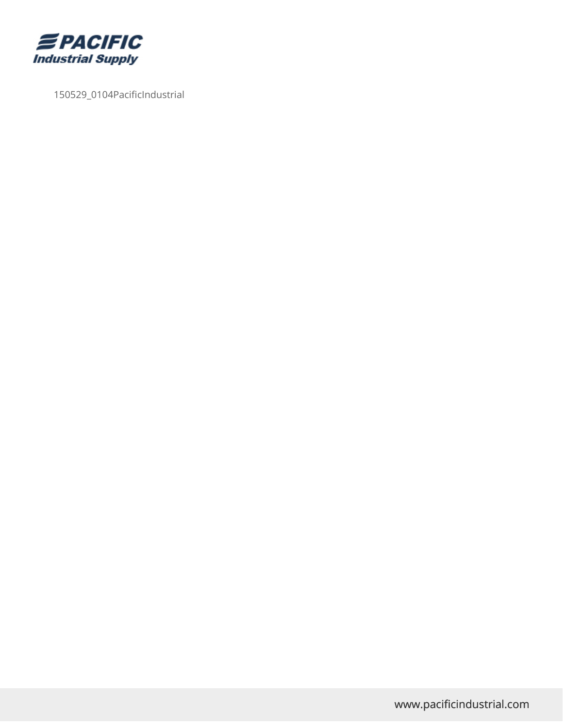

150529\_0104PacificIndustrial